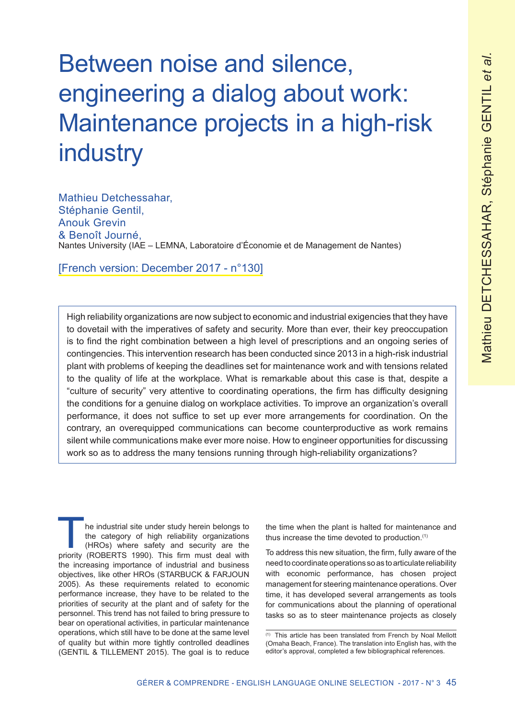# Between noise and silence, engineering a dialog about work: Maintenance projects in a high-risk industry

Mathieu Detchessahar, Stéphanie Gentil, Anouk Grevin & Benoît Journé, Nantes University (IAE – LEMNA, Laboratoire d'Économie et de Management de Nantes)

[French version: December 2017 - n°130]

High reliability organizations are now subject to economic and industrial exigencies that they have to dovetail with the imperatives of safety and security. More than ever, their key preoccupation is to find the right combination between a high level of prescriptions and an ongoing series of contingencies. This intervention research has been conducted since 2013 in a high-risk industrial plant with problems of keeping the deadlines set for maintenance work and with tensions related to the quality of life at the workplace. What is remarkable about this case is that, despite a "culture of security" very attentive to coordinating operations, the firm has difficulty designing the conditions for a genuine dialog on workplace activities. To improve an organization's overall performance, it does not suffice to set up ever more arrangements for coordination. On the contrary, an overequipped communications can become counterproductive as work remains silent while communications make ever more noise. How to engineer opportunities for discussing work so as to address the many tensions running through high-reliability organizations?

he industrial site under study herein belongs to the category of high reliability organizations (HROs) where safety and security are the priority (ROBERTS 1990). This firm must deal with the increasing importance of industrial and business objectives, like other HROs (STARBUCK & FARJOUN 2005). As these requirements related to economic performance increase, they have to be related to the priorities of security at the plant and of safety for the personnel. This trend has not failed to bring pressure to bear on operational activities, in particular maintenance operations, which still have to be done at the same level of quality but within more tightly controlled deadlines (GENTIL & TILLEMENT 2015). The goal is to reduce

the time when the plant is halted for maintenance and thus increase the time devoted to production.(1)

To address this new situation, the firm, fully aware of the need to coordinate operations so as to articulate reliability with economic performance, has chosen project management for steering maintenance operations. Over time, it has developed several arrangements as tools for communications about the planning of operational tasks so as to steer maintenance projects as closely

<sup>(1)</sup> This article has been translated from French by Noal Mellott (Omaha Beach, France). The translation into English has, with the editor's approval, completed a few bibliographical references.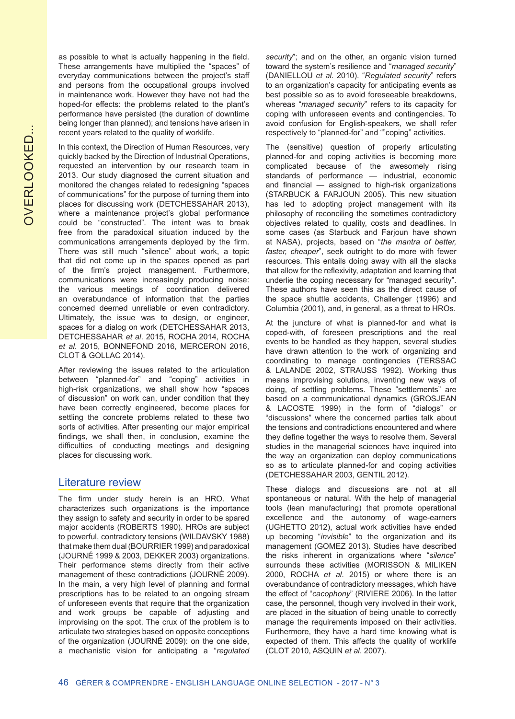as possible to what is actually happening in the field. These arrangements have multiplied the "spaces" of everyday communications between the project's staff and persons from the occupational groups involved in maintenance work. However they have not had the hoped-for effects: the problems related to the plant's performance have persisted (the duration of downtime being longer than planned); and tensions have arisen in recent years related to the quality of worklife.

In this context, the Direction of Human Resources, very quickly backed by the Direction of Industrial Operations, requested an intervention by our research team in 2013. Our study diagnosed the current situation and monitored the changes related to redesigning "spaces of communications" for the purpose of turning them into places for discussing work (DETCHESSAHAR 2013), where a maintenance project's global performance could be "constructed". The intent was to break free from the paradoxical situation induced by the communications arrangements deployed by the firm. There was still much "silence" about work, a topic that did not come up in the spaces opened as part of the firm's project management. Furthermore, communications were increasingly producing noise: the various meetings of coordination delivered an overabundance of information that the parties concerned deemed unreliable or even contradictory. Ultimately, the issue was to design, or engineer, spaces for a dialog on work (DETCHESSAHAR 2013, DETCHESSAHAR *et al*. 2015, ROCHA 2014, ROCHA *et al*. 2015, BONNEFOND 2016, MERCERON 2016, CLOT & GOLLAC 2014).

After reviewing the issues related to the articulation between "planned-for" and "coping" activities in high-risk organizations, we shall show how "spaces of discussion" on work can, under condition that they have been correctly engineered, become places for settling the concrete problems related to these two sorts of activities. After presenting our major empirical findings, we shall then, in conclusion, examine the difficulties of conducting meetings and designing places for discussing work.

### Literature review

The firm under study herein is an HRO. What characterizes such organizations is the importance they assign to safety and security in order to be spared major accidents (ROBERTS 1990). HROs are subject to powerful, contradictory tensions (WILDAVSKY 1988) that make them dual (BOURRIER 1999) and paradoxical (JOURNÉ 1999 & 2003, DEKKER 2003) organizations. Their performance stems directly from their active management of these contradictions (JOURNÉ 2009). In the main, a very high level of planning and formal prescriptions has to be related to an ongoing stream of unforeseen events that require that the organization and work groups be capable of adjusting and improvising on the spot. The crux of the problem is to articulate two strategies based on opposite conceptions of the organization (JOURNÉ 2009): on the one side, a mechanistic vision for anticipating a "*regulated* 

*security*"; and on the other, an organic vision turned toward the system's resilience and "*managed security*" (DANIELLOU *et al*. 2010). "*Regulated security*" refers to an organization's capacity for anticipating events as best possible so as to avoid foreseeable breakdowns, whereas "*managed security*" refers to its capacity for coping with unforeseen events and contingencies. To avoid confusion for English-speakers, we shall refer respectively to "planned-for" and ""coping" activities.

The (sensitive) question of properly articulating planned-for and coping activities is becoming more complicated because of the awesomely rising standards of performance — industrial, economic and financial — assigned to high-risk organizations (STARBUCK & FARJOUN 2005). This new situation has led to adopting project management with its philosophy of reconciling the sometimes contradictory objectives related to quality, costs and deadlines. In some cases (as Starbuck and Farjoun have shown at NASA), projects, based on "*the mantra of better, faster, cheaper*", seek outright to do more with fewer resources. This entails doing away with all the slacks that allow for the reflexivity, adaptation and learning that underlie the coping necessary for "managed security". These authors have seen this as the direct cause of the space shuttle accidents, Challenger (1996) and Columbia (2001), and, in general, as a threat to HROs.

At the juncture of what is planned-for and what is coped-with, of foreseen prescriptions and the real events to be handled as they happen, several studies have drawn attention to the work of organizing and coordinating to manage contingencies (TERSSAC & LALANDE 2002, STRAUSS 1992). Working thus means improvising solutions, inventing new ways of doing, of settling problems. These "settlements" are based on a communicational dynamics (GROSJEAN & LACOSTE 1999) in the form of "dialogs" or "discussions" where the concerned parties talk about the tensions and contradictions encountered and where they define together the ways to resolve them. Several studies in the managerial sciences have inquired into the way an organization can deploy communications so as to articulate planned-for and coping activities (DETCHESSAHAR 2003, GENTIL 2012).

These dialogs and discussions are not at all spontaneous or natural. With the help of managerial tools (lean manufacturing) that promote operational excellence and the autonomy of wage-earners (UGHETTO 2012), actual work activities have ended up becoming "*invisible*" to the organization and its management (GOMEZ 2013). Studies have described the risks inherent in organizations where "*silence*" surrounds these activities (MORISSON & MILIKEN 2000, ROCHA *et al*. 2015) or where there is an overabundance of contradictory messages, which have the effect of "*cacophony*" (RIVIERE 2006). In the latter case, the personnel, though very involved in their work, are placed in the situation of being unable to correctly manage the requirements imposed on their activities. Furthermore, they have a hard time knowing what is expected of them. This affects the quality of worklife (CLOT 2010, ASQUIN *et al*. 2007).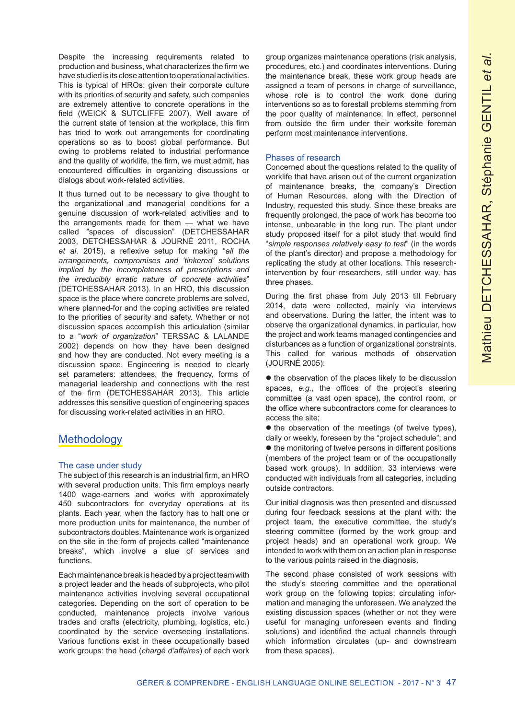Despite the increasing requirements related to production and business, what characterizes the firm we have studied is its close attention to operational activities. This is typical of HROs: given their corporate culture with its priorities of security and safety, such companies are extremely attentive to concrete operations in the field (WEICK & SUTCLIFFE 2007). Well aware of the current state of tension at the workplace, this firm has tried to work out arrangements for coordinating operations so as to boost global performance. But owing to problems related to industrial performance and the quality of worklife, the firm, we must admit, has encountered difficulties in organizing discussions or dialogs about work-related activities.

It thus turned out to be necessary to give thought to the organizational and managerial conditions for a genuine discussion of work-related activities and to the arrangements made for them — what we have called "spaces of discussion" (DETCHESSAHAR 2003, DETCHESSAHAR & JOURNÉ 2011, ROCHA *et al*. 2015), a reflexive setup for making "*all the arrangements, compromises and 'tinkered' solutions implied by the incompleteness of prescriptions and the irreducibly erratic nature of concrete activities*" (DETCHESSAHAR 2013). In an HRO, this discussion space is the place where concrete problems are solved, where planned-for and the coping activities are related to the priorities of security and safety. Whether or not discussion spaces accomplish this articulation (similar to a "*work of organization*" TERSSAC & LALANDE 2002) depends on how they have been designed and how they are conducted. Not every meeting is a discussion space. Engineering is needed to clearly set parameters: attendees, the frequency, forms of managerial leadership and connections with the rest of the firm (DETCHESSAHAR 2013). This article addresses this sensitive question of engineering spaces for discussing work-related activities in an HRO.

# **Methodology**

#### The case under study

The subject of this research is an industrial firm, an HRO with several production units. This firm employs nearly 1400 wage-earners and works with approximately 450 subcontractors for everyday operations at its plants. Each year, when the factory has to halt one or more production units for maintenance, the number of subcontractors doubles. Maintenance work is organized on the site in the form of projects called "maintenance breaks", which involve a slue of services and functions.

Each maintenance break is headed by a project team with a project leader and the heads of subprojects, who pilot maintenance activities involving several occupational categories. Depending on the sort of operation to be conducted, maintenance projects involve various trades and crafts (electricity, plumbing, logistics, etc.) coordinated by the service overseeing installations. Various functions exist in these occupationally based work groups: the head (*chargé d'affaires*) of each work group organizes maintenance operations (risk analysis, procedures, etc.) and coordinates interventions. During the maintenance break, these work group heads are assigned a team of persons in charge of surveillance, whose role is to control the work done during interventions so as to forestall problems stemming from the poor quality of maintenance. In effect, personnel from outside the firm under their worksite foreman perform most maintenance interventions.

#### Phases of research

Concerned about the questions related to the quality of worklife that have arisen out of the current organization of maintenance breaks, the company's Direction of Human Resources, along with the Direction of Industry, requested this study. Since these breaks are frequently prolonged, the pace of work has become too intense, unbearable in the long run. The plant under study proposed itself for a pilot study that would find "*simple responses relatively easy to test*" (in the words of the plant's director) and propose a methodology for replicating the study at other locations. This researchintervention by four researchers, still under way, has three phases.

During the first phase from July 2013 till February 2014, data were collected, mainly via interviews and observations. During the latter, the intent was to observe the organizational dynamics, in particular, how the project and work teams managed contingencies and disturbances as a function of organizational constraints. This called for various methods of observation (JOURNÉ 2005):

 $\bullet$  the observation of the places likely to be discussion spaces, *e.g.*, the offices of the project's steering committee (a vast open space), the control room, or the office where subcontractors come for clearances to access the site;

 $\bullet$  the observation of the meetings (of twelve types), daily or weekly, foreseen by the "project schedule"; and  $\bullet$  the monitoring of twelve persons in different positions (members of the project team or of the occupationally based work groups). In addition, 33 interviews were conducted with individuals from all categories, including outside contractors.

Our initial diagnosis was then presented and discussed during four feedback sessions at the plant with: the project team, the executive committee, the study's steering committee (formed by the work group and project heads) and an operational work group. We intended to work with them on an action plan in response to the various points raised in the diagnosis.

The second phase consisted of work sessions with the study's steering committee and the operational work group on the following topics: circulating information and managing the unforeseen. We analyzed the existing discussion spaces (whether or not they were useful for managing unforeseen events and finding solutions) and identified the actual channels through which information circulates (up- and downstream from these spaces).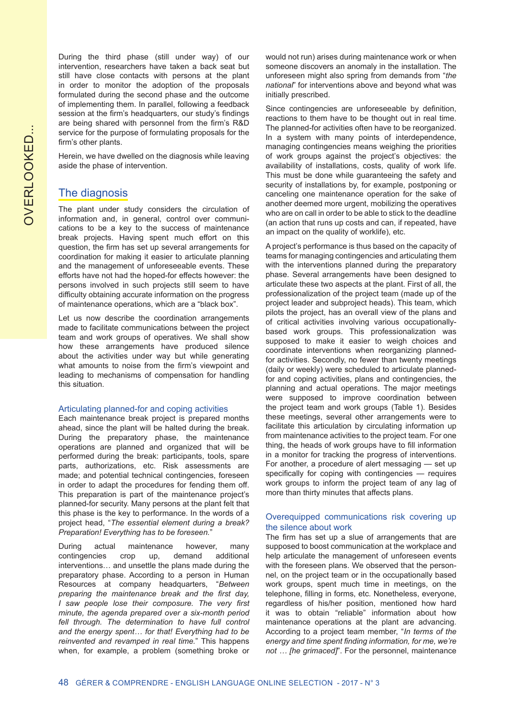OVERLOOKED... OVERLOOKED...

During the third phase (still under way) of our intervention, researchers have taken a back seat but still have close contacts with persons at the plant in order to monitor the adoption of the proposals formulated during the second phase and the outcome of implementing them. In parallel, following a feedback session at the firm's headquarters, our study's findings are being shared with personnel from the firm's R&D service for the purpose of formulating proposals for the firm's other plants.

Herein, we have dwelled on the diagnosis while leaving aside the phase of intervention.

## The diagnosis

The plant under study considers the circulation of information and, in general, control over communications to be a key to the success of maintenance break projects. Having spent much effort on this question, the firm has set up several arrangements for coordination for making it easier to articulate planning and the management of unforeseeable events. These efforts have not had the hoped-for effects however: the persons involved in such projects still seem to have difficulty obtaining accurate information on the progress of maintenance operations, which are a "black box".

Let us now describe the coordination arrangements made to facilitate communications between the project team and work groups of operatives. We shall show how these arrangements have produced silence about the activities under way but while generating what amounts to noise from the firm's viewpoint and leading to mechanisms of compensation for handling this situation.

#### Articulating planned-for and coping activities

Each maintenance break project is prepared months ahead, since the plant will be halted during the break. During the preparatory phase, the maintenance operations are planned and organized that will be performed during the break: participants, tools, spare parts, authorizations, etc. Risk assessments are made; and potential technical contingencies, foreseen in order to adapt the procedures for fending them off. This preparation is part of the maintenance project's planned-for security. Many persons at the plant felt that this phase is the key to performance. In the words of a project head, "*The essential element during a break? Preparation! Everything has to be foreseen.*"

During actual maintenance however, many contingencies crop up, demand additional interventions… and unsettle the plans made during the preparatory phase. According to a person in Human Resources at company headquarters, "*Between preparing the maintenance break and the first day, I saw people lose their composure. The very first minute, the agenda prepared over a six-month period*  fell through. The determination to have full control *and the energy spent… for that! Everything had to be reinvented and revamped in real time.*" This happens when, for example, a problem (something broke or would not run) arises during maintenance work or when someone discovers an anomaly in the installation. The unforeseen might also spring from demands from "*the national*" for interventions above and beyond what was initially prescribed.

Since contingencies are unforeseeable by definition, reactions to them have to be thought out in real time. The planned-for activities often have to be reorganized. In a system with many points of interdependence, managing contingencies means weighing the priorities of work groups against the project's objectives: the availability of installations, costs, quality of work life. This must be done while guaranteeing the safety and security of installations by, for example, postponing or canceling one maintenance operation for the sake of another deemed more urgent, mobilizing the operatives who are on call in order to be able to stick to the deadline (an action that runs up costs and can, if repeated, have an impact on the quality of worklife), etc.

A project's performance is thus based on the capacity of teams for managing contingencies and articulating them with the interventions planned during the preparatory phase. Several arrangements have been designed to articulate these two aspects at the plant. First of all, the professionalization of the project team (made up of the project leader and subproject heads). This team, which pilots the project, has an overall view of the plans and of critical activities involving various occupationallybased work groups. This professionalization was supposed to make it easier to weigh choices and coordinate interventions when reorganizing plannedfor activities. Secondly, no fewer than twenty meetings (daily or weekly) were scheduled to articulate plannedfor and coping activities, plans and contingencies, the planning and actual operations. The major meetings were supposed to improve coordination between the project team and work groups (Table 1). Besides these meetings, several other arrangements were to facilitate this articulation by circulating information up from maintenance activities to the project team. For one thing, the heads of work groups have to fill information in a monitor for tracking the progress of interventions. For another, a procedure of alert messaging — set up specifically for coping with contingencies — requires work groups to inform the project team of any lag of more than thirty minutes that affects plans.

#### Overequipped communications risk covering up the silence about work

The firm has set up a slue of arrangements that are supposed to boost communication at the workplace and help articulate the management of unforeseen events with the foreseen plans. We observed that the personnel, on the project team or in the occupationally based work groups, spent much time in meetings, on the telephone, filling in forms, etc. Nonetheless, everyone, regardless of his/her position, mentioned how hard it was to obtain "reliable" information about how maintenance operations at the plant are advancing. According to a project team member, "*In terms of the energy and time spent finding information, for me, we're not … [he grimaced]*". For the personnel, maintenance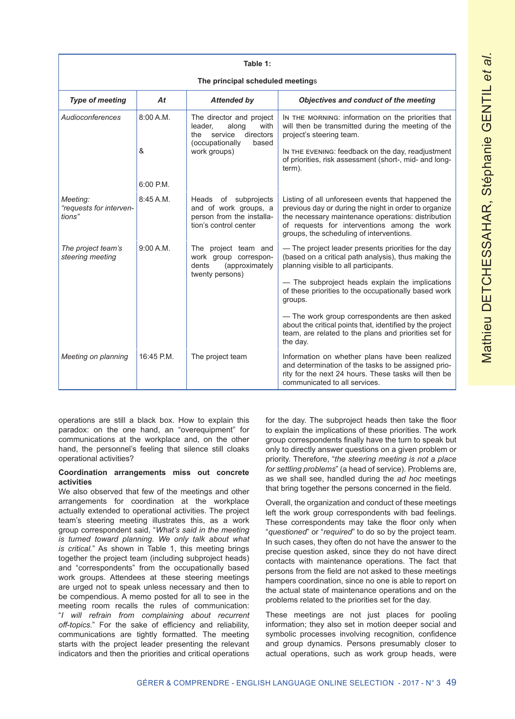| Table 1:                                      |             |                                                                                                                                 |                                                                                                                                                                                                                                                               |
|-----------------------------------------------|-------------|---------------------------------------------------------------------------------------------------------------------------------|---------------------------------------------------------------------------------------------------------------------------------------------------------------------------------------------------------------------------------------------------------------|
| The principal scheduled meetings              |             |                                                                                                                                 |                                                                                                                                                                                                                                                               |
| <b>Type of meeting</b>                        | At          | <b>Attended by</b>                                                                                                              | Objectives and conduct of the meeting                                                                                                                                                                                                                         |
| Audioconferences                              | 8:00 A.M.   | The director and project<br>leader,<br>along<br>with<br>directors<br>service<br>the<br>(occupationally<br>based<br>work groups) | IN THE MORNING: information on the priorities that<br>will then be transmitted during the meeting of the<br>project's steering team.                                                                                                                          |
|                                               | &           |                                                                                                                                 | IN THE EVENING: feedback on the day, readjustment<br>of priorities, risk assessment (short-, mid- and long-<br>term).                                                                                                                                         |
|                                               | $6:00$ P.M. |                                                                                                                                 |                                                                                                                                                                                                                                                               |
| Meeting:<br>"requests for interven-<br>tions" | 8:45A.M.    | Heads of subprojects<br>and of work groups, a<br>person from the installa-<br>tion's control center                             | Listing of all unforeseen events that happened the<br>previous day or during the night in order to organize<br>the necessary maintenance operations: distribution<br>of requests for interventions among the work<br>groups, the scheduling of interventions. |
| The project team's<br>steering meeting        | 9:00 A.M.   | The project team and<br>work group correspon-<br>(approximately<br>dents<br>twenty persons)                                     | - The project leader presents priorities for the day<br>(based on a critical path analysis), thus making the<br>planning visible to all participants.                                                                                                         |
|                                               |             |                                                                                                                                 | - The subproject heads explain the implications<br>of these priorities to the occupationally based work<br>groups.                                                                                                                                            |
|                                               |             |                                                                                                                                 | - The work group correspondents are then asked<br>about the critical points that, identified by the project<br>team, are related to the plans and priorities set for<br>the day.                                                                              |
| Meeting on planning                           | 16:45 P.M.  | The project team                                                                                                                | Information on whether plans have been realized<br>and determination of the tasks to be assigned prio-<br>rity for the next 24 hours. These tasks will then be<br>communicated to all services.                                                               |

operations are still a black box. How to explain this paradox: on the one hand, an "overequipment" for communications at the workplace and, on the other hand, the personnel's feeling that silence still cloaks operational activities?

#### **Coordination arrangements miss out concrete activities**

We also observed that few of the meetings and other arrangements for coordination at the workplace actually extended to operational activities. The project team's steering meeting illustrates this, as a work group correspondent said, "*What's said in the meeting is turned toward planning. We only talk about what is critical.*" As shown in Table 1, this meeting brings together the project team (including subproject heads) and "correspondents" from the occupationally based work groups. Attendees at these steering meetings are urged not to speak unless necessary and then to be compendious. A memo posted for all to see in the meeting room recalls the rules of communication: "*I will refrain from complaining about recurrent off-topics.*" For the sake of efficiency and reliability, communications are tightly formatted. The meeting starts with the project leader presenting the relevant indicators and then the priorities and critical operations for the day. The subproject heads then take the floor to explain the implications of these priorities. The work group correspondents finally have the turn to speak but only to directly answer questions on a given problem or priority. Therefore, "*the steering meeting is not a place for settling problems*" (a head of service). Problems are, as we shall see, handled during the *ad hoc* meetings that bring together the persons concerned in the field.

Overall, the organization and conduct of these meetings left the work group correspondents with bad feelings. These correspondents may take the floor only when "*questioned*" or "*required*" to do so by the project team. In such cases, they often do not have the answer to the precise question asked, since they do not have direct contacts with maintenance operations. The fact that persons from the field are not asked to these meetings hampers coordination, since no one is able to report on the actual state of maintenance operations and on the problems related to the priorities set for the day.

These meetings are not just places for pooling information; they also set in motion deeper social and symbolic processes involving recognition, confidence and group dynamics. Persons presumably closer to actual operations, such as work group heads, were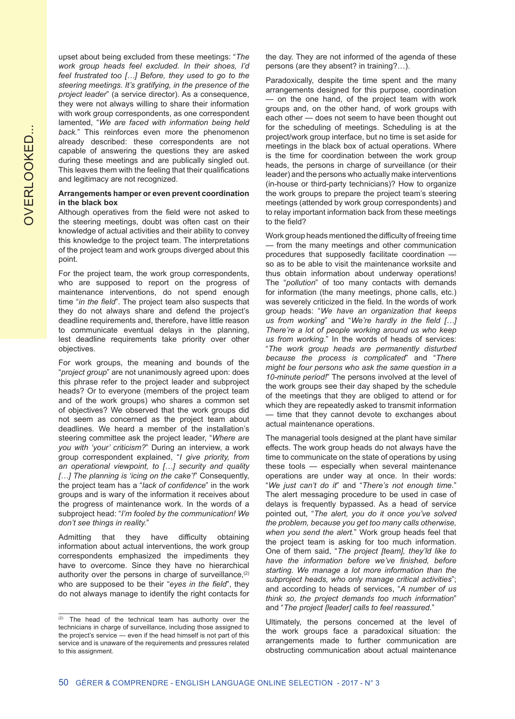upset about being excluded from these meetings: "*The work group heads feel excluded. In their shoes, I'd feel frustrated too […] Before, they used to go to the steering meetings. It's gratifying, in the presence of the project leader*" (a service director). As a consequence, they were not always willing to share their information with work group correspondents, as one correspondent lamented, "*We are faced with information being held back.*" This reinforces even more the phenomenon already described: these correspondents are not capable of answering the questions they are asked during these meetings and are publically singled out. This leaves them with the feeling that their qualifications and legitimacy are not recognized.

#### **Arrangements hamper or even prevent coordination in the black box**

Although operatives from the field were not asked to the steering meetings, doubt was often cast on their knowledge of actual activities and their ability to convey this knowledge to the project team. The interpretations of the project team and work groups diverged about this point.

For the project team, the work group correspondents, who are supposed to report on the progress of maintenance interventions, do not spend enough time "*in the field*". The project team also suspects that they do not always share and defend the project's deadline requirements and, therefore, have little reason to communicate eventual delays in the planning, lest deadline requirements take priority over other objectives.

For work groups, the meaning and bounds of the "*project group*" are not unanimously agreed upon: does this phrase refer to the project leader and subproject heads? Or to everyone (members of the project team and of the work groups) who shares a common set of objectives? We observed that the work groups did not seem as concerned as the project team about deadlines. We heard a member of the installation's steering committee ask the project leader, "*Where are you with 'your' criticism?*" During an interview, a work group correspondent explained, "*I give priority, from an operational viewpoint, to […] security and quality […] The planning is 'icing on the cake'!*" Consequently, the project team has a "*lack of confidence*" in the work groups and is wary of the information it receives about the progress of maintenance work. In the words of a subproject head: "*I'm fooled by the communication! We don't see things in reality.*"

Admitting that they have difficulty obtaining information about actual interventions, the work group correspondents emphasized the impediments they have to overcome. Since they have no hierarchical authority over the persons in charge of surveillance,<sup>(2)</sup> who are supposed to be their "*eyes in the field*", they do not always manage to identify the right contacts for the day. They are not informed of the agenda of these persons (are they absent? in training?…).

Paradoxically, despite the time spent and the many arrangements designed for this purpose, coordination — on the one hand, of the project team with work groups and, on the other hand, of work groups with each other — does not seem to have been thought out for the scheduling of meetings. Scheduling is at the project/work group interface, but no time is set aside for meetings in the black box of actual operations. Where is the time for coordination between the work group heads, the persons in charge of surveillance (or their leader) and the persons who actually make interventions (in-house or third-party technicians)? How to organize the work groups to prepare the project team's steering meetings (attended by work group correspondents) and to relay important information back from these meetings to the field?

Work group heads mentioned the difficulty of freeing time — from the many meetings and other communication procedures that supposedly facilitate coordination so as to be able to visit the maintenance worksite and thus obtain information about underway operations! The "*pollution*" of too many contacts with demands for information (the many meetings, phone calls, etc.) was severely criticized in the field. In the words of work group heads: "*We have an organization that keeps us from working*" and "*We're hardly in the field […] There're a lot of people working around us who keep us from working.*" In the words of heads of services: "*The work group heads are permanently disturbed because the process is complicated*" and "*There might be four persons who ask the same question in a 10-minute period!*" The persons involved at the level of the work groups see their day shaped by the schedule of the meetings that they are obliged to attend or for which they are repeatedly asked to transmit information — time that they cannot devote to exchanges about actual maintenance operations.

The managerial tools designed at the plant have similar effects. The work group heads do not always have the time to communicate on the state of operations by using these tools — especially when several maintenance operations are under way at once. In their words: "*We just can't do it*" and "*There's not enough time.*" The alert messaging procedure to be used in case of delays is frequently bypassed. As a head of service pointed out, "*The alert, you do it once you've solved the problem, because you get too many calls otherwise, when you send the alert.*" Work group heads feel that the project team is asking for too much information. One of them said, "*The project [team], they'ld like to have the information before we've finished, before starting. We manage a lot more information than the subproject heads, who only manage critical activities*"; and according to heads of services, "*A number of us think so, the project demands too much information*" and "*The project [leader] calls to feel reassured.*"

Ultimately, the persons concerned at the level of the work groups face a paradoxical situation: the arrangements made to further communication are obstructing communication about actual maintenance

<sup>(2)</sup> The head of the technical team has authority over the technicians in charge of surveillance, including those assigned to the project's service — even if the head himself is not part of this service and is unaware of the requirements and pressures related to this assignment.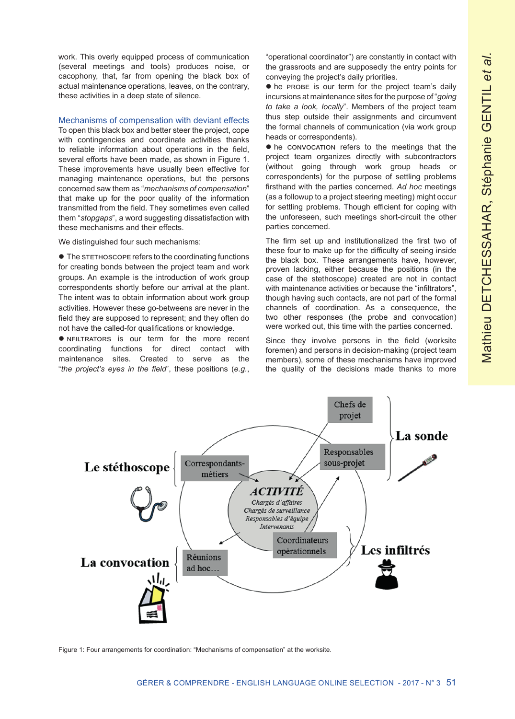work. This overly equipped process of communication (several meetings and tools) produces noise, or cacophony, that, far from opening the black box of actual maintenance operations, leaves, on the contrary, these activities in a deep state of silence.

#### Mechanisms of compensation with deviant effects

To open this black box and better steer the project, cope with contingencies and coordinate activities thanks to reliable information about operations in the field, several efforts have been made, as shown in Figure 1. These improvements have usually been effective for managing maintenance operations, but the persons concerned saw them as "*mechanisms of compensation*" that make up for the poor quality of the information transmitted from the field. They sometimes even called them "*stopgaps*", a word suggesting dissatisfaction with these mechanisms and their effects.

We distinguished four such mechanisms:

 $\bullet$  The stethoscope refers to the coordinating functions for creating bonds between the project team and work groups. An example is the introduction of work group correspondents shortly before our arrival at the plant. The intent was to obtain information about work group activities. However these go-betweens are never in the field they are supposed to represent; and they often do not have the called-for qualifications or knowledge.

**•** NFILTRATORS is our term for the more recent coordinating functions for direct contact with maintenance sites. Created to serve as the "*the project's eyes in the field*", these positions (*e.g.*,

"operational coordinator") are constantly in contact with the grassroots and are supposedly the entry points for conveying the project's daily priorities.

 $\bullet$  he PROBE is our term for the project team's daily incursions at maintenance sites for the purpose of "*going to take a look, locally*". Members of the project team thus step outside their assignments and circumvent the formal channels of communication (via work group heads or correspondents).

 $\bullet$  he convocation refers to the meetings that the project team organizes directly with subcontractors (without going through work group heads or correspondents) for the purpose of settling problems firsthand with the parties concerned. *Ad hoc* meetings (as a followup to a project steering meeting) might occur for settling problems. Though efficient for coping with the unforeseen, such meetings short-circuit the other parties concerned.

The firm set up and institutionalized the first two of these four to make up for the difficulty of seeing inside the black box. These arrangements have, however, proven lacking, either because the positions (in the case of the stethoscope) created are not in contact with maintenance activities or because the "infiltrators", though having such contacts, are not part of the formal channels of coordination. As a consequence, the two other responses (the probe and convocation) were worked out, this time with the parties concerned.

Since they involve persons in the field (worksite foremen) and persons in decision-making (project team members), some of these mechanisms have improved the quality of the decisions made thanks to more



Figure 1: Four arrangements for coordination: "Mechanisms of compensation" at the worksite.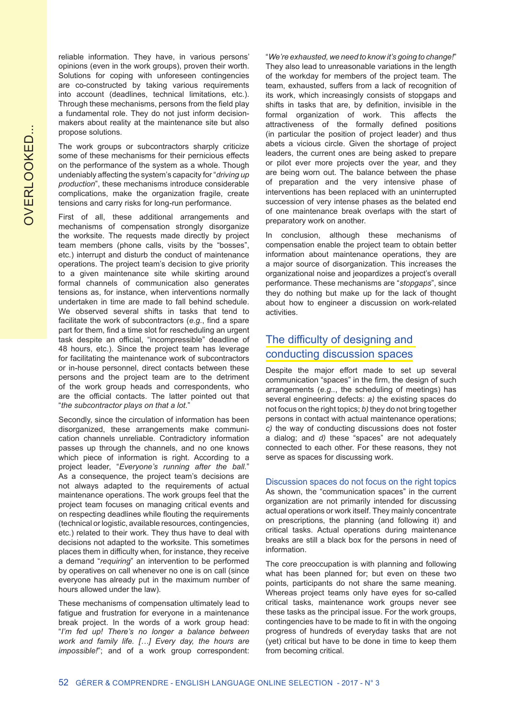reliable information. They have, in various persons' opinions (even in the work groups), proven their worth. Solutions for coping with unforeseen contingencies are co-constructed by taking various requirements into account (deadlines, technical limitations, etc.). Through these mechanisms, persons from the field play a fundamental role. They do not just inform decisionmakers about reality at the maintenance site but also propose solutions.

The work groups or subcontractors sharply criticize some of these mechanisms for their pernicious effects on the performance of the system as a whole. Though undeniably affecting the system's capacity for "*driving up production*", these mechanisms introduce considerable complications, make the organization fragile, create tensions and carry risks for long-run performance.

First of all, these additional arrangements and mechanisms of compensation strongly disorganize the worksite. The requests made directly by project team members (phone calls, visits by the "bosses", etc.) interrupt and disturb the conduct of maintenance operations. The project team's decision to give priority to a given maintenance site while skirting around formal channels of communication also generates tensions as, for instance, when interventions normally undertaken in time are made to fall behind schedule. We observed several shifts in tasks that tend to facilitate the work of subcontractors (*e.g.*, find a spare part for them, find a time slot for rescheduling an urgent task despite an official, "incompressible" deadline of 48 hours, etc.). Since the project team has leverage for facilitating the maintenance work of subcontractors or in-house personnel, direct contacts between these persons and the project team are to the detriment of the work group heads and correspondents, who are the official contacts. The latter pointed out that "*the subcontractor plays on that a lot.*"

Secondly, since the circulation of information has been disorganized, these arrangements make communication channels unreliable. Contradictory information passes up through the channels, and no one knows which piece of information is right. According to a project leader, "*Everyone's running after the ball.*" As a consequence, the project team's decisions are not always adapted to the requirements of actual maintenance operations. The work groups feel that the project team focuses on managing critical events and on respecting deadlines while flouting the requirements (technical or logistic, available resources, contingencies, etc.) related to their work. They thus have to deal with decisions not adapted to the worksite. This sometimes places them in difficulty when, for instance, they receive a demand "*requiring*" an intervention to be performed by operatives on call whenever no one is on call (since everyone has already put in the maximum number of hours allowed under the law).

These mechanisms of compensation ultimately lead to fatigue and frustration for everyone in a maintenance break project. In the words of a work group head: "*I'm fed up! There's no longer a balance between work and family life. […] Every day, the hours are impossible!*"; and of a work group correspondent: "*We're exhausted, we need to know it's going to change!*" They also lead to unreasonable variations in the length of the workday for members of the project team. The team, exhausted, suffers from a lack of recognition of its work, which increasingly consists of stopgaps and shifts in tasks that are, by definition, invisible in the formal organization of work. This affects the attractiveness of the formally defined positions (in particular the position of project leader) and thus abets a vicious circle. Given the shortage of project leaders, the current ones are being asked to prepare or pilot ever more projects over the year, and they are being worn out. The balance between the phase of preparation and the very intensive phase of interventions has been replaced with an uninterrupted succession of very intense phases as the belated end of one maintenance break overlaps with the start of preparatory work on another.

In conclusion, although these mechanisms of compensation enable the project team to obtain better information about maintenance operations, they are a major source of disorganization. This increases the organizational noise and jeopardizes a project's overall performance. These mechanisms are "*stopgaps*", since they do nothing but make up for the lack of thought about how to engineer a discussion on work-related activities.

# The difficulty of designing and conducting discussion spaces

Despite the major effort made to set up several communication "spaces" in the firm, the design of such arrangements (*e.g..*, the scheduling of meetings) has several engineering defects: *a)* the existing spaces do not focus on the right topics; *b)* they do not bring together persons in contact with actual maintenance operations; *c)* the way of conducting discussions does not foster a dialog; and *d)* these "spaces" are not adequately connected to each other. For these reasons, they not serve as spaces for discussing work.

Discussion spaces do not focus on the right topics As shown, the "communication spaces" in the current organization are not primarily intended for discussing actual operations or work itself. They mainly concentrate on prescriptions, the planning (and following it) and critical tasks. Actual operations during maintenance breaks are still a black box for the persons in need of information.

The core preoccupation is with planning and following what has been planned for; but even on these two points, participants do not share the same meaning. Whereas project teams only have eyes for so-called critical tasks, maintenance work groups never see these tasks as the principal issue. For the work groups, contingencies have to be made to fit in with the ongoing progress of hundreds of everyday tasks that are not (yet) critical but have to be done in time to keep them from becoming critical.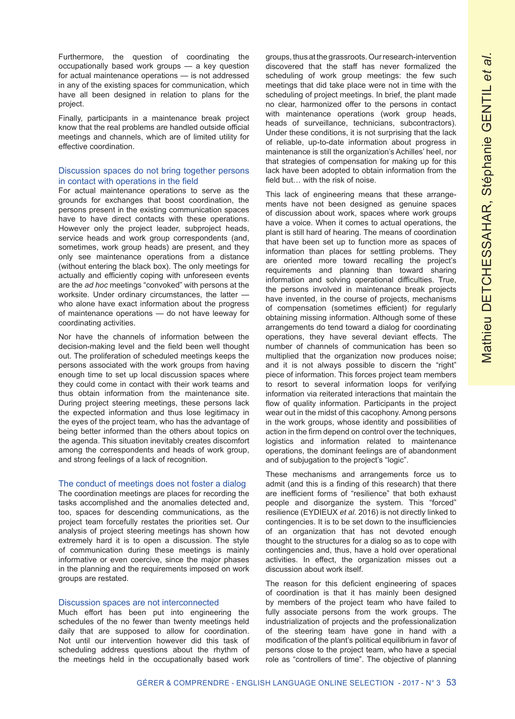Furthermore, the question of coordinating the occupationally based work groups — a key question for actual maintenance operations — is not addressed in any of the existing spaces for communication, which have all been designed in relation to plans for the project.

Finally, participants in a maintenance break project know that the real problems are handled outside official meetings and channels, which are of limited utility for effective coordination.

#### Discussion spaces do not bring together persons in contact with operations in the field

For actual maintenance operations to serve as the grounds for exchanges that boost coordination, the persons present in the existing communication spaces have to have direct contacts with these operations. However only the project leader, subproject heads, service heads and work group correspondents (and, sometimes, work group heads) are present, and they only see maintenance operations from a distance (without entering the black box). The only meetings for actually and efficiently coping with unforeseen events are the *ad hoc* meetings "convoked" with persons at the worksite. Under ordinary circumstances, the latter who alone have exact information about the progress of maintenance operations — do not have leeway for coordinating activities.

Nor have the channels of information between the decision-making level and the field been well thought out. The proliferation of scheduled meetings keeps the persons associated with the work groups from having enough time to set up local discussion spaces where they could come in contact with their work teams and thus obtain information from the maintenance site. During project steering meetings, these persons lack the expected information and thus lose legitimacy in the eyes of the project team, who has the advantage of being better informed than the others about topics on the agenda. This situation inevitably creates discomfort among the correspondents and heads of work group, and strong feelings of a lack of recognition.

#### The conduct of meetings does not foster a dialog

The coordination meetings are places for recording the tasks accomplished and the anomalies detected and, too, spaces for descending communications, as the project team forcefully restates the priorities set. Our analysis of project steering meetings has shown how extremely hard it is to open a discussion. The style of communication during these meetings is mainly informative or even coercive, since the major phases in the planning and the requirements imposed on work groups are restated.

#### Discussion spaces are not interconnected

Much effort has been put into engineering the schedules of the no fewer than twenty meetings held daily that are supposed to allow for coordination. Not until our intervention however did this task of scheduling address questions about the rhythm of the meetings held in the occupationally based work groups, thus at the grassroots. Our research-intervention discovered that the staff has never formalized the scheduling of work group meetings: the few such meetings that did take place were not in time with the scheduling of project meetings. In brief, the plant made no clear, harmonized offer to the persons in contact with maintenance operations (work group heads, heads of surveillance, technicians, subcontractors). Under these conditions, it is not surprising that the lack of reliable, up-to-date information about progress in maintenance is still the organization's Achilles' heel, nor that strategies of compensation for making up for this lack have been adopted to obtain information from the field but… with the risk of noise.

This lack of engineering means that these arrangements have not been designed as genuine spaces of discussion about work, spaces where work groups have a voice. When it comes to actual operations, the plant is still hard of hearing. The means of coordination that have been set up to function more as spaces of information than places for settling problems. They are oriented more toward recalling the project's requirements and planning than toward sharing information and solving operational difficulties. True, the persons involved in maintenance break projects have invented, in the course of projects, mechanisms of compensation (sometimes efficient) for regularly obtaining missing information. Although some of these arrangements do tend toward a dialog for coordinating operations, they have several deviant effects. The number of channels of communication has been so multiplied that the organization now produces noise; and it is not always possible to discern the "right" piece of information. This forces project team members to resort to several information loops for verifying information via reiterated interactions that maintain the flow of quality information. Participants in the project wear out in the midst of this cacophony. Among persons in the work groups, whose identity and possibilities of action in the firm depend on control over the techniques, logistics and information related to maintenance operations, the dominant feelings are of abandonment and of subjugation to the project's "logic".

These mechanisms and arrangements force us to admit (and this is a finding of this research) that there are inefficient forms of "resilience" that both exhaust people and disorganize the system. This "forced" resilience (EYDIEUX *et al*. 2016) is not directly linked to contingencies. It is to be set down to the insufficiencies of an organization that has not devoted enough thought to the structures for a dialog so as to cope with contingencies and, thus, have a hold over operational activities. In effect, the organization misses out a discussion about work itself.

The reason for this deficient engineering of spaces of coordination is that it has mainly been designed by members of the project team who have failed to fully associate persons from the work groups. The industrialization of projects and the professionalization of the steering team have gone in hand with a modification of the plant's political equilibrium in favor of persons close to the project team, who have a special role as "controllers of time". The objective of planning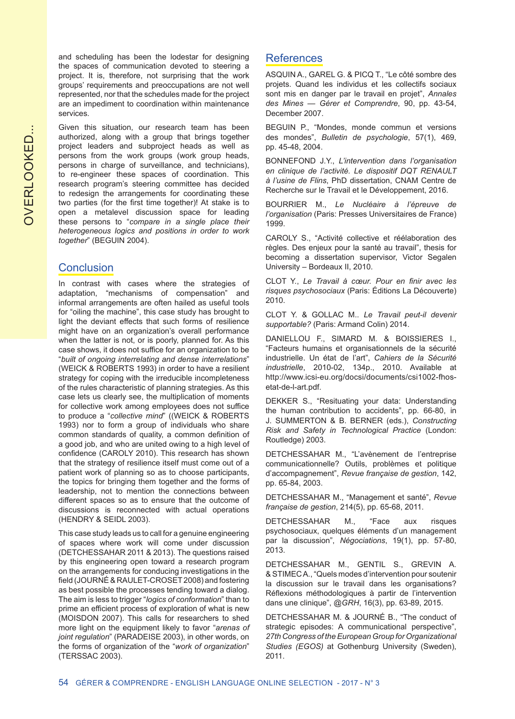**OVERLOOKED...** OVERLOOKED...

and scheduling has been the lodestar for designing the spaces of communication devoted to steering a project. It is, therefore, not surprising that the work groups' requirements and preoccupations are not well represented, nor that the schedules made for the project are an impediment to coordination within maintenance services.

Given this situation, our research team has been authorized, along with a group that brings together project leaders and subproject heads as well as persons from the work groups (work group heads, persons in charge of surveillance, and technicians), to re-engineer these spaces of coordination. This research program's steering committee has decided to redesign the arrangements for coordinating these two parties (for the first time together)! At stake is to open a metalevel discussion space for leading these persons to "*compare in a single place their heterogeneous logics and positions in order to work together*" (BEGUIN 2004).

# **Conclusion**

In contrast with cases where the strategies of adaptation, "mechanisms of compensation" and informal arrangements are often hailed as useful tools for "oiling the machine", this case study has brought to light the deviant effects that such forms of resilience might have on an organization's overall performance when the latter is not, or is poorly, planned for. As this case shows, it does not suffice for an organization to be "*built of ongoing interrelating and dense interrelations*" (WEICK & ROBERTS 1993) in order to have a resilient strategy for coping with the irreducible incompleteness of the rules characteristic of planning strategies. As this case lets us clearly see, the multiplication of moments for collective work among employees does not suffice to produce a "*collective mind*" ((WEICK & ROBERTS 1993) nor to form a group of individuals who share common standards of quality, a common definition of a good job, and who are united owing to a high level of confidence (CAROLY 2010). This research has shown that the strategy of resilience itself must come out of a patient work of planning so as to choose participants, the topics for bringing them together and the forms of leadership, not to mention the connections between different spaces so as to ensure that the outcome of discussions is reconnected with actual operations (HENDRY & SEIDL 2003).

This case study leads us to call for a genuine engineering of spaces where work will come under discussion (DETCHESSAHAR 2011 & 2013). The questions raised by this engineering open toward a research program on the arrangements for conducing investigations in the field (JOURNÉ & RAULET-CROSET 2008) and fostering as best possible the processes tending toward a dialog. The aim is less to trigger "*logics of conformation*" than to prime an efficient process of exploration of what is new (MOISDON 2007). This calls for researchers to shed more light on the equipment likely to favor "*arenas of joint regulation*" (PARADEISE 2003), in other words, on the forms of organization of the "*work of organization*" (TERSSAC 2003).

## **References**

ASQUIN A., GAREL G. & PICQ T., "Le côté sombre des projets. Quand les individus et les collectifs sociaux sont mis en danger par le travail en projet", *Annales des Mines — Gérer et Comprendre*, 90, pp. 43-54, December 2007.

BEGUIN P., "Mondes, monde commun et versions des mondes", *Bulletin de psychologie*, 57(1), 469, pp. 45-48, 2004.

BONNEFOND J.Y., *L'intervention dans l'organisation en clinique de l'activité. Le dispositif DQT RENAULT à l'usine de Flins*, PhD dissertation, CNAM Centre de Recherche sur le Travail et le Développement, 2016.

BOURRIER M., *Le Nucléaire à l'épreuve de l'organisation* (Paris: Presses Universitaires de France) 1999.

CAROLY S., "Activité collective et réélaboration des règles. Des enjeux pour la santé au travail", thesis for becoming a dissertation supervisor, Victor Segalen University ‒ Bordeaux II, 2010.

CLOT Y., *Le Travail à cœur. Pour en finir avec les risques psychosociaux* (Paris: Éditions La Découverte) 2010.

CLOT Y. & GOLLAC M.. *Le Travail peut-il devenir supportable?* (Paris: Armand Colin) 2014.

DANIELLOU F., SIMARD M. & BOISSIERES I., "Facteurs humains et organisationnels de la sécurité industrielle. Un état de l'art", *Cahiers de la Sécurité industrielle*, 2010-02, 134p., 2010. Available at http://www.icsi-eu.org/docsi/documents/csi1002-fhosetat-de-l-art.pdf.

DEKKER S., "Resituating your data: Understanding the human contribution to accidents", pp. 66-80, in J. SUMMERTON & B. BERNER (eds.), *Constructing Risk and Safety in Technological Practice* (London: Routledge) 2003.

DETCHESSAHAR M., "L'avènement de l'entreprise communicationnelle? Outils, problèmes et politique d'accompagnement", *Revue française de gestion*, 142, pp. 65-84, 2003.

DETCHESSAHAR M., "Management et santé", *Revue française de gestion*, 214(5), pp. 65-68, 2011.

DETCHESSAHAR M., "Face aux risques psychosociaux, quelques éléments d'un management par la discussion", *Négociations*, 19(1), pp. 57-80, 2013.

DETCHESSAHAR M., GENTIL S., GREVIN A. & STIMEC A., "Quels modes d'intervention pour soutenir la discussion sur le travail dans les organisations? Réflexions méthodologiques à partir de l'intervention dans une clinique", @*GRH*, 16(3), pp. 63-89, 2015.

DETCHESSAHAR M. & JOURNÉ B., "The conduct of strategic episodes: A communicational perspective", *27th Congress of the European Group for Organizational Studies (EGOS)* at Gothenburg University (Sweden), 2011.